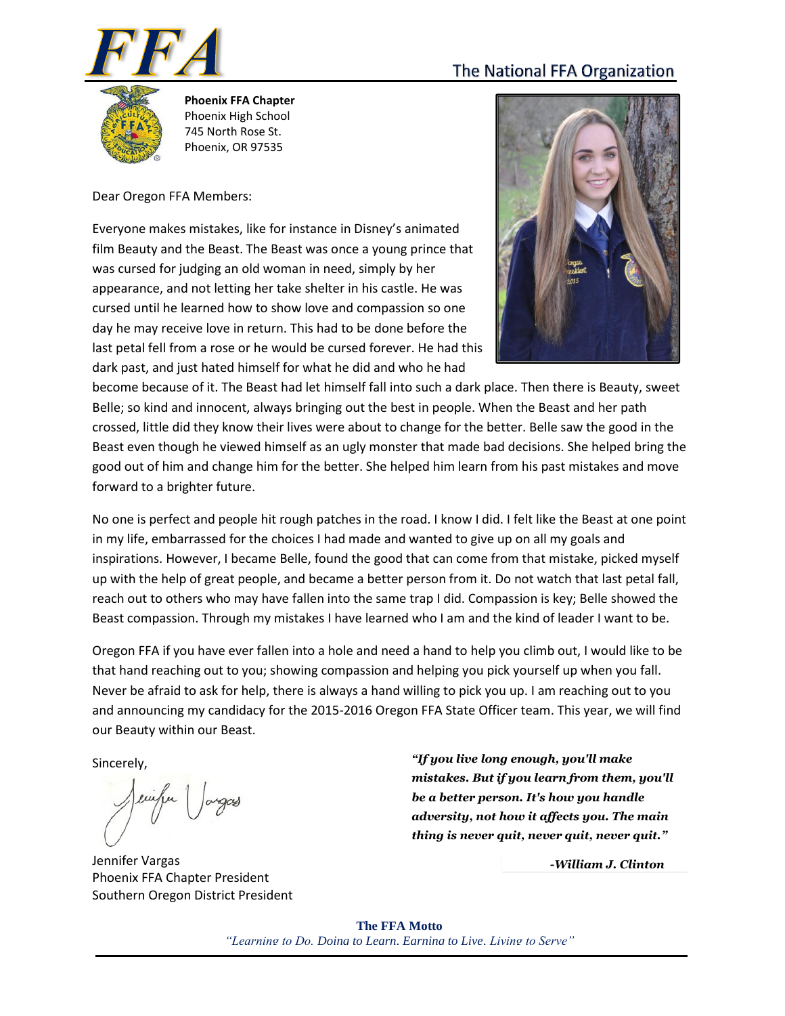# The National FFA Organization





**Phoenix FFA Chapter** Phoenix High School 745 North Rose St. Phoenix, OR 97535

Dear Oregon FFA Members:

Everyone makes mistakes, like for instance in Disney's animated film Beauty and the Beast. The Beast was once a young prince that was cursed for judging an old woman in need, simply by her appearance, and not letting her take shelter in his castle. He was cursed until he learned how to show love and compassion so one day he may receive love in return. This had to be done before the last petal fell from a rose or he would be cursed forever. He had this dark past, and just hated himself for what he did and who he had



become because of it. The Beast had let himself fall into such a dark place. Then there is Beauty, sweet Belle; so kind and innocent, always bringing out the best in people. When the Beast and her path crossed, little did they know their lives were about to change for the better. Belle saw the good in the Beast even though he viewed himself as an ugly monster that made bad decisions. She helped bring the good out of him and change him for the better. She helped him learn from his past mistakes and move forward to a brighter future.

No one is perfect and people hit rough patches in the road. I know I did. I felt like the Beast at one point in my life, embarrassed for the choices I had made and wanted to give up on all my goals and inspirations. However, I became Belle, found the good that can come from that mistake, picked myself up with the help of great people, and became a better person from it. Do not watch that last petal fall, reach out to others who may have fallen into the same trap I did. Compassion is key; Belle showed the Beast compassion. Through my mistakes I have learned who I am and the kind of leader I want to be.

Oregon FFA if you have ever fallen into a hole and need a hand to help you climb out, I would like to be that hand reaching out to you; showing compassion and helping you pick yourself up when you fall. Never be afraid to ask for help, there is always a hand willing to pick you up. I am reaching out to you and announcing my candidacy for the 2015-2016 Oregon FFA State Officer team. This year, we will find our Beauty within our Beast.

Sincerely,

Jennifer Vargas Phoenix FFA Chapter President Southern Oregon District President

*"If you live long enough, you'll make mistakes. But if you learn from them, you'll be a better person. It's how you handle adversity, not how it affects you. The main thing is never quit, never quit, never quit."*

*[-William J. Clinton](http://www.brainyquote.com/quotes/authors/w/william_j_clinton.html)* 

**The FFA Motto** *"Learning to Do, Doing to Learn, Earning to Live, Living to Serve"*